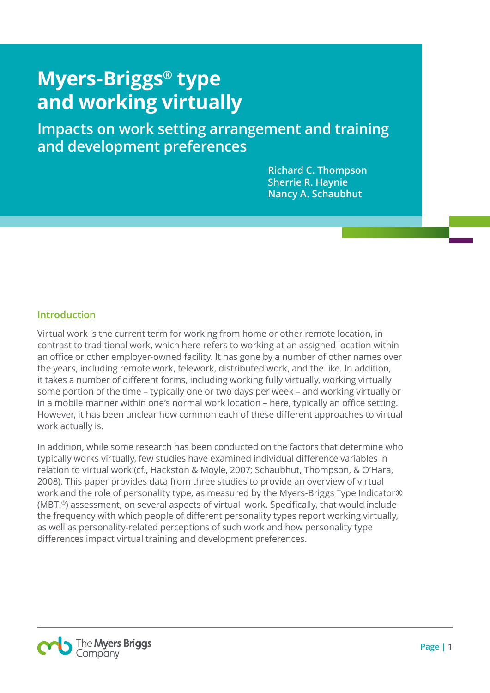# **Myers-Briggs® type and working virtually**

**Impacts on work setting arrangement and training and development preferences**

> **Richard C. Thompson Sherrie R. Haynie Nancy A. Schaubhut**

### **Introduction**

Virtual work is the current term for working from home or other remote location, in contrast to traditional work, which here refers to working at an assigned location within an office or other employer-owned facility. It has gone by a number of other names over the years, including remote work, telework, distributed work, and the like. In addition, it takes a number of different forms, including working fully virtually, working virtually some portion of the time – typically one or two days per week – and working virtually or in a mobile manner within one's normal work location – here, typically an office setting. However, it has been unclear how common each of these different approaches to virtual work actually is.

In addition, while some research has been conducted on the factors that determine who typically works virtually, few studies have examined individual difference variables in relation to virtual work (cf., Hackston & Moyle, 2007; Schaubhut, Thompson, & O'Hara, 2008). This paper provides data from three studies to provide an overview of virtual work and the role of personality type, as measured by the Myers-Briggs Type Indicator® (MBTI®) assessment, on several aspects of virtual work. Specifically, that would include the frequency with which people of different personality types report working virtually, as well as personality-related perceptions of such work and how personality type differences impact virtual training and development preferences.

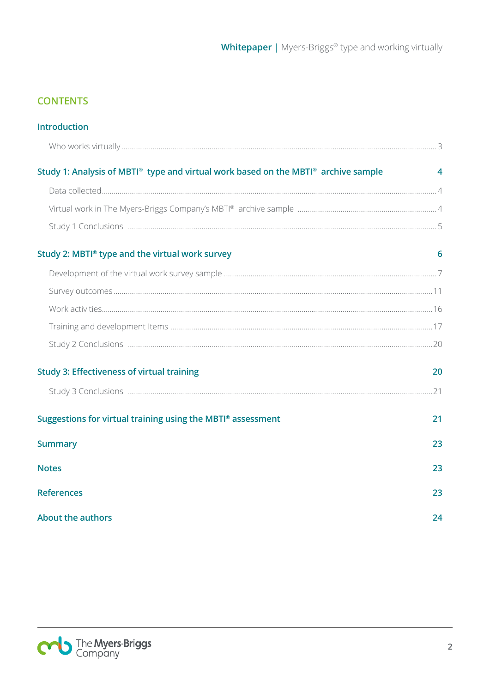## **CONTENTS**

| <b>Introduction</b>                                                                |    |
|------------------------------------------------------------------------------------|----|
|                                                                                    |    |
| Study 1: Analysis of MBTI® type and virtual work based on the MBTI® archive sample | 4  |
|                                                                                    |    |
|                                                                                    |    |
|                                                                                    |    |
| Study 2: MBTI® type and the virtual work survey                                    | 6  |
|                                                                                    |    |
|                                                                                    |    |
|                                                                                    |    |
|                                                                                    |    |
|                                                                                    |    |
| <b>Study 3: Effectiveness of virtual training</b>                                  | 20 |
|                                                                                    |    |
| Suggestions for virtual training using the MBTI® assessment                        | 21 |
| <b>Summary</b>                                                                     | 23 |
| <b>Notes</b>                                                                       | 23 |
| <b>References</b>                                                                  | 23 |
| <b>About the authors</b>                                                           | 24 |

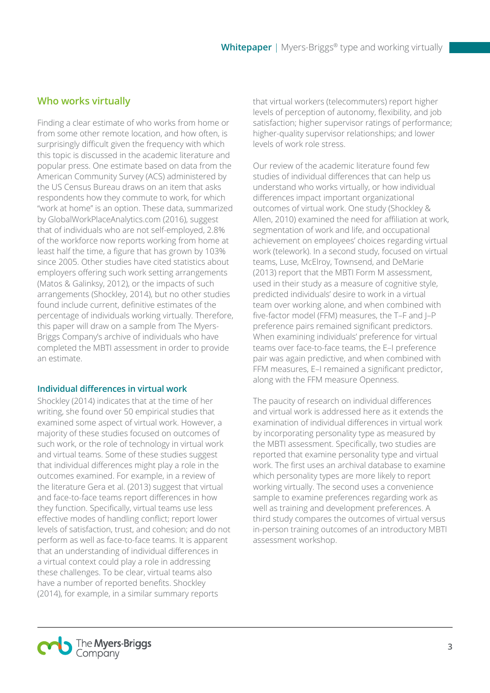## **Who works virtually**

Finding a clear estimate of who works from home or from some other remote location, and how often, is surprisingly difficult given the frequency with which this topic is discussed in the academic literature and popular press. One estimate based on data from the American Community Survey (ACS) administered by the US Census Bureau draws on an item that asks respondents how they commute to work, for which "work at home" is an option. These data, summarized by GlobalWorkPlaceAnalytics.com (2016), suggest that of individuals who are not self-employed, 2.8% of the workforce now reports working from home at least half the time, a figure that has grown by 103% since 2005. Other studies have cited statistics about employers offering such work setting arrangements (Matos & Galinksy, 2012), or the impacts of such arrangements (Shockley, 2014), but no other studies found include current, definitive estimates of the percentage of individuals working virtually. Therefore, this paper will draw on a sample from The Myers-Briggs Company's archive of individuals who have completed the MBTI assessment in order to provide an estimate.

#### **Individual differences in virtual work**

Shockley (2014) indicates that at the time of her writing, she found over 50 empirical studies that examined some aspect of virtual work. However, a majority of these studies focused on outcomes of such work, or the role of technology in virtual work and virtual teams. Some of these studies suggest that individual differences might play a role in the outcomes examined. For example, in a review of the literature Gera et al. (2013) suggest that virtual and face-to-face teams report differences in how they function. Specifically, virtual teams use less effective modes of handling conflict; report lower levels of satisfaction, trust, and cohesion; and do not perform as well as face-to-face teams. It is apparent that an understanding of individual differences in a virtual context could play a role in addressing these challenges. To be clear, virtual teams also have a number of reported benefits. Shockley (2014), for example, in a similar summary reports

that virtual workers (telecommuters) report higher levels of perception of autonomy, flexibility, and job satisfaction; higher supervisor ratings of performance; higher-quality supervisor relationships; and lower levels of work role stress.

Our review of the academic literature found few studies of individual differences that can help us understand who works virtually, or how individual differences impact important organizational outcomes of virtual work. One study (Shockley & Allen, 2010) examined the need for affiliation at work, segmentation of work and life, and occupational achievement on employees' choices regarding virtual work (telework). In a second study, focused on virtual teams, Luse, McElroy, Townsend, and DeMarie (2013) report that the MBTI Form M assessment, used in their study as a measure of cognitive style, predicted individuals' desire to work in a virtual team over working alone, and when combined with five-factor model (FFM) measures, the T–F and J–P preference pairs remained significant predictors. When examining individuals' preference for virtual teams over face-to-face teams, the E–I preference pair was again predictive, and when combined with FFM measures, E–I remained a significant predictor, along with the FFM measure Openness.

The paucity of research on individual differences and virtual work is addressed here as it extends the examination of individual differences in virtual work by incorporating personality type as measured by the MBTI assessment. Specifically, two studies are reported that examine personality type and virtual work. The first uses an archival database to examine which personality types are more likely to report working virtually. The second uses a convenience sample to examine preferences regarding work as well as training and development preferences. A third study compares the outcomes of virtual versus in-person training outcomes of an introductory MBTI assessment workshop.

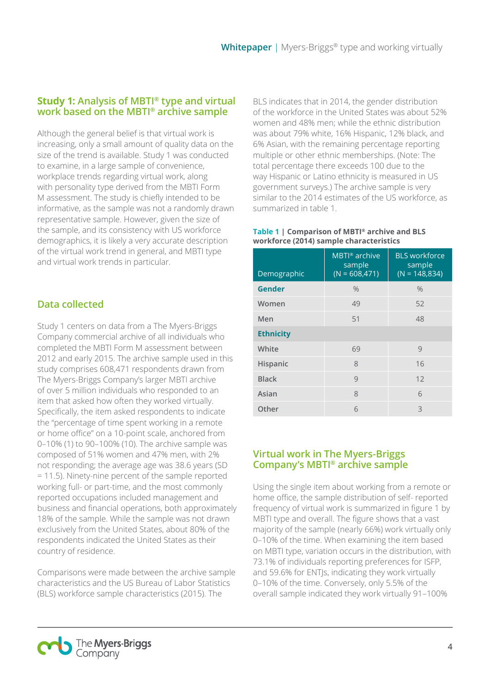## **Study 1: Analysis of MBTI® type and virtual work based on the MBTI® archive sample**

Although the general belief is that virtual work is increasing, only a small amount of quality data on the size of the trend is available. Study 1 was conducted to examine, in a large sample of convenience, workplace trends regarding virtual work, along with personality type derived from the MBTI Form M assessment. The study is chiefly intended to be informative, as the sample was not a randomly drawn representative sample. However, given the size of the sample, and its consistency with US workforce demographics, it is likely a very accurate description of the virtual work trend in general, and MBTI type and virtual work trends in particular.

## **Data collected**

Study 1 centers on data from a The Myers-Briggs Company commercial archive of all individuals who completed the MBTI Form M assessment between 2012 and early 2015. The archive sample used in this study comprises 608,471 respondents drawn from The Myers-Briggs Company's larger MBTI archive of over 5 million individuals who responded to an item that asked how often they worked virtually. Specifically, the item asked respondents to indicate the "percentage of time spent working in a remote or home office" on a 10-point scale, anchored from 0–10% (1) to 90–100% (10). The archive sample was composed of 51% women and 47% men, with 2% not responding; the average age was 38.6 years (SD = 11.5). Ninety-nine percent of the sample reported working full- or part-time, and the most commonly reported occupations included management and business and financial operations, both approximately 18% of the sample. While the sample was not drawn exclusively from the United States, about 80% of the respondents indicated the United States as their country of residence.

Comparisons were made between the archive sample characteristics and the US Bureau of Labor Statistics (BLS) workforce sample characteristics (2015). The

BLS indicates that in 2014, the gender distribution of the workforce in the United States was about 52% women and 48% men; while the ethnic distribution was about 79% white, 16% Hispanic, 12% black, and 6% Asian, with the remaining percentage reporting multiple or other ethnic memberships. (Note: The total percentage there exceeds 100 due to the way Hispanic or Latino ethnicity is measured in US government surveys.) The archive sample is very similar to the 2014 estimates of the US workforce, as summarized in table 1.

#### **Table 1 | Comparison of MBTI® archive and BLS workforce (2014) sample characteristics**

| Demographic      | MBTI <sup>®</sup> archive<br>sample<br>$(N = 608, 471)$ | <b>BLS</b> workforce<br>sample<br>$(N = 148,834)$ |
|------------------|---------------------------------------------------------|---------------------------------------------------|
| <b>Gender</b>    | $\frac{0}{0}$                                           | $\frac{0}{0}$                                     |
| Women            | 49                                                      | 52                                                |
| Men              | 51                                                      | 48                                                |
| <b>Ethnicity</b> |                                                         |                                                   |
| White            | 69                                                      | 9                                                 |
| Hispanic         | 8                                                       | 16                                                |
| <b>Black</b>     | 9                                                       | 12                                                |
| Asian            | 8                                                       | 6                                                 |
| Other            | 6                                                       | 3                                                 |

## **Virtual work in The Myers-Briggs Company's MBTI® archive sample**

Using the single item about working from a remote or home office, the sample distribution of self- reported frequency of virtual work is summarized in figure 1 by MBTI type and overall. The figure shows that a vast majority of the sample (nearly 66%) work virtually only 0–10% of the time. When examining the item based on MBTI type, variation occurs in the distribution, with 73.1% of individuals reporting preferences for ISFP, and 59.6% for ENTJs, indicating they work virtually 0–10% of the time. Conversely, only 5.5% of the overall sample indicated they work virtually 91–100%

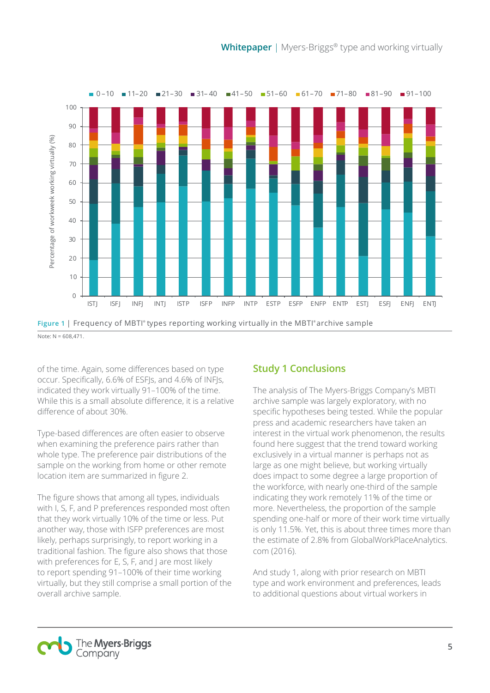

of the time. Again, some differences based on type occur. Specifically, 6.6% of ESFJs, and 4.6% of INFJs, indicated they work virtually 91–100% of the time. While this is a small absolute difference, it is a relative difference of about 30%.

Type-based differences are often easier to observe when examining the preference pairs rather than whole type. The preference pair distributions of the sample on the working from home or other remote location item are summarized in figure 2.

The figure shows that among all types, individuals with I, S, F, and P preferences responded most often that they work virtually 10% of the time or less. Put another way, those with ISFP preferences are most likely, perhaps surprisingly, to report working in a traditional fashion. The figure also shows that those with preferences for E, S, F, and J are most likely to report spending 91–100% of their time working virtually, but they still comprise a small portion of the overall archive sample.

## **Study 1 Conclusions**

The analysis of The Myers-Briggs Company's MBTI archive sample was largely exploratory, with no specific hypotheses being tested. While the popular press and academic researchers have taken an interest in the virtual work phenomenon, the results found here suggest that the trend toward working exclusively in a virtual manner is perhaps not as large as one might believe, but working virtually does impact to some degree a large proportion of the workforce, with nearly one-third of the sample indicating they work remotely 11% of the time or more. Nevertheless, the proportion of the sample spending one-half or more of their work time virtually is only 11.5%. Yet, this is about three times more than the estimate of 2.8% from GlobalWorkPlaceAnalytics. com (2016).

And study 1, along with prior research on MBTI type and work environment and preferences, leads to additional questions about virtual workers in



**Figure 1** | Frequency of MBTI<sup>®</sup> types reporting working virtually in the MBTI® archive sample  $Note: N = 608,471$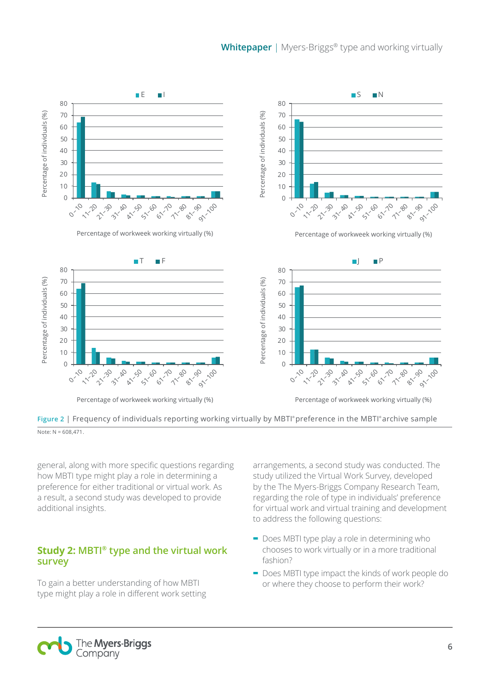

**Figure 2** | Frequency of individuals reporting working virtually by MBTI ® preference in the MBTI ® archive sample  $\overline{Note: N = 608,471}$ 

general, along with more specific questions regarding how MBTI type might play a role in determining a preference for either traditional or virtual work. As a result, a second study was developed to provide additional insights.

## **Study 2: MBTI® type and the virtual work survey**

To gain a better understanding of how MBTI type might play a role in different work setting arrangements, a second study was conducted. The study utilized the Virtual Work Survey, developed by the The Myers-Briggs Company Research Team, regarding the role of type in individuals' preference for virtual work and virtual training and development to address the following questions:

- **-** Does MBTI type play a role in determining who chooses to work virtually or in a more traditional fashion?
- **-** Does MBTI type impact the kinds of work people do or where they choose to perform their work?

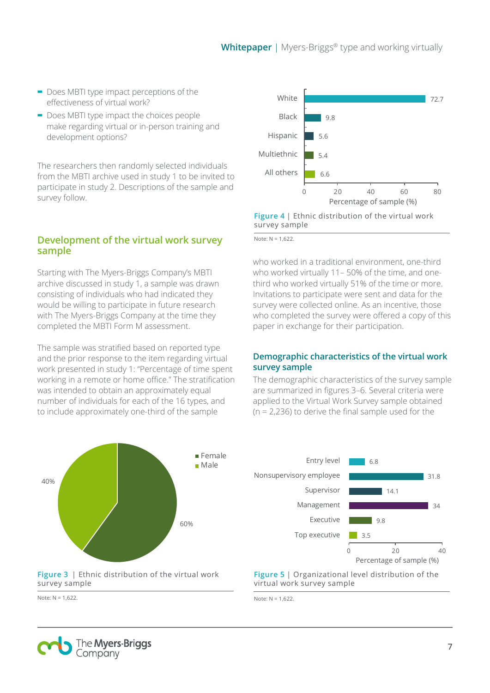- **-** Does MBTI type impact perceptions of the effectiveness of virtual work?
- **-** Does MBTI type impact the choices people make regarding virtual or in-person training and development options?

The researchers then randomly selected individuals from the MBTI archive used in study 1 to be invited to participate in study 2. Descriptions of the sample and survey follow.

#### **Development of the virtual work survey sample**

Starting with The Myers-Briggs Company's MBTI archive discussed in study 1, a sample was drawn consisting of individuals who had indicated they would be willing to participate in future research with The Myers-Briggs Company at the time they completed the MBTI Form M assessment.

The sample was stratified based on reported type and the prior response to the item regarding virtual work presented in study 1: "Percentage of time spent working in a remote or home office." The stratification was intended to obtain an approximately equal number of individuals for each of the 16 types, and to include approximately one-third of the sample



**Figure 3** | Ethnic distribution of the virtual work survey sample





#### **Figure 4** | Ethnic distribution of the virtual work survey sample

Note: N = 1,622.

who worked in a traditional environment, one-third who worked virtually 11– 50% of the time, and onethird who worked virtually 51% of the time or more. Invitations to participate were sent and data for the survey were collected online. As an incentive, those who completed the survey were offered a copy of this paper in exchange for their participation.

#### **Demographic characteristics of the virtual work survey sample**

The demographic characteristics of the survey sample are summarized in figures 3–6. Several criteria were applied to the Virtual Work Survey sample obtained (n = 2,236) to derive the final sample used for the



**Figure 5** | Organizational level distribution of the virtual work survey sample

Note: N = 1,622.

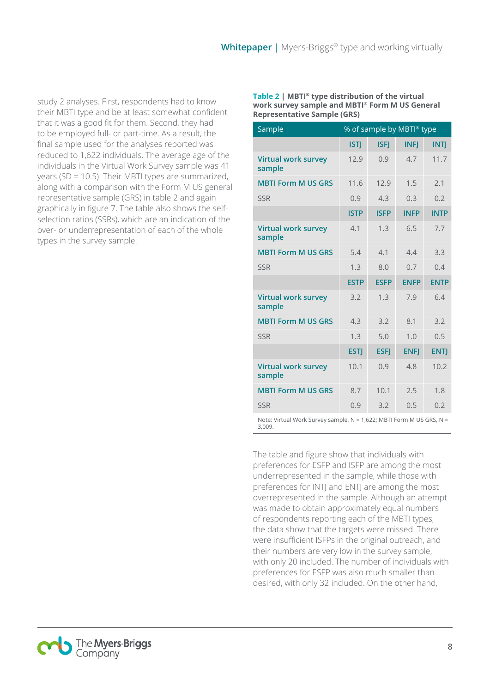study 2 analyses. First, respondents had to know their MBTI type and be at least somewhat confident that it was a good fit for them. Second, they had to be employed full- or part-time. As a result, the final sample used for the analyses reported was reduced to 1,622 individuals. The average age of the individuals in the Virtual Work Survey sample was 41 years (SD = 10.5). Their MBTI types are summarized, along with a comparison with the Form M US general representative sample (GRS) in table 2 and again graphically in figure 7. The table also shows the selfselection ratios (SSRs), which are an indication of the over- or underrepresentation of each of the whole types in the survey sample.

**Table 2 | MBTI® type distribution of the virtual work survey sample and MBTI® Form M US General Representative Sample (GRS)**

| Sample                                                | % of sample by MBTI® type |                                                                                                                                                                                                                                                                  |             |              |  |  |  |
|-------------------------------------------------------|---------------------------|------------------------------------------------------------------------------------------------------------------------------------------------------------------------------------------------------------------------------------------------------------------|-------------|--------------|--|--|--|
|                                                       | <b>ISTJ</b>               | <b>ISFJ</b>                                                                                                                                                                                                                                                      | <b>INFJ</b> | <b>INTJ</b>  |  |  |  |
| <b>Virtual work survey</b><br>sample                  | 12.9                      | 0.9                                                                                                                                                                                                                                                              | 4.7         | 11.7         |  |  |  |
| <b>MBTI Form M US GRS</b>                             | 11.6                      | 12.9                                                                                                                                                                                                                                                             | 1.5         | 2.1          |  |  |  |
| <b>SSR</b>                                            | 0.9                       | 4.3                                                                                                                                                                                                                                                              | 0.3         | 0.2          |  |  |  |
|                                                       | <b>ISTP</b>               | <b>ISFP</b>                                                                                                                                                                                                                                                      | <b>INFP</b> | <b>INTP</b>  |  |  |  |
| <b>Virtual work survey</b><br>sample                  | 4.1                       | 1.3                                                                                                                                                                                                                                                              | 6.5         | 7.7          |  |  |  |
| <b>MBTI Form M US GRS</b>                             | 5.4                       | 4.1                                                                                                                                                                                                                                                              | 4.4         | 3.3          |  |  |  |
| <b>SSR</b>                                            | 1.3                       | 8.0                                                                                                                                                                                                                                                              | 0.7         | 0.4          |  |  |  |
|                                                       | <b>ESTP</b>               | <b>ESFP</b>                                                                                                                                                                                                                                                      | <b>ENFP</b> | <b>ENTP</b>  |  |  |  |
| <b>Virtual work survey</b><br>sample                  | 3.2                       | 1.3                                                                                                                                                                                                                                                              | 7.9         | 6.4          |  |  |  |
| <b>MBTI Form M US GRS</b>                             | 4.3                       | 3.2                                                                                                                                                                                                                                                              | 8.1         | 3.2          |  |  |  |
| <b>SSR</b>                                            | 1.3                       | 5.0                                                                                                                                                                                                                                                              | 1.0         | 0.5          |  |  |  |
|                                                       | <b>ESTJ</b>               | <b>ESFJ</b>                                                                                                                                                                                                                                                      | <b>ENFJ</b> | <b>ENTJ</b>  |  |  |  |
| <b>Virtual work survey</b><br>sample                  | 10.1                      | 0.9                                                                                                                                                                                                                                                              | 4.8         | 10.2         |  |  |  |
| <b>MBTI Form M US GRS</b>                             | 8.7                       | 10.1                                                                                                                                                                                                                                                             | 2.5         | 1.8          |  |  |  |
| <b>SSR</b>                                            | 0.9                       | 3.2                                                                                                                                                                                                                                                              | 0.5         | 0.2          |  |  |  |
| $\mathbf{M}$ . $\mathbf{M}$ . The set of $\mathbf{C}$ |                           | $-1$ $\leq$ $\leq$ $\leq$ $\leq$ $\leq$ $\leq$ $\leq$ $\leq$ $\leq$ $\leq$ $\leq$ $\leq$ $\leq$ $\leq$ $\leq$ $\leq$ $\leq$ $\leq$ $\leq$ $\leq$ $\leq$ $\leq$ $\leq$ $\leq$ $\leq$ $\leq$ $\leq$ $\leq$ $\leq$ $\leq$ $\leq$ $\leq$ $\leq$ $\leq$ $\leq$ $\leq$ |             | MULIC CDC MI |  |  |  |

Note: Virtual Work Survey sample, N = 1,622; MBTI Form M US GRS, N = 3,009.

The table and figure show that individuals with preferences for ESFP and ISFP are among the most underrepresented in the sample, while those with preferences for INTJ and ENTJ are among the most overrepresented in the sample. Although an attempt was made to obtain approximately equal numbers of respondents reporting each of the MBTI types, the data show that the targets were missed. There were insufficient ISFPs in the original outreach, and their numbers are very low in the survey sample, with only 20 included. The number of individuals with preferences for ESFP was also much smaller than desired, with only 32 included. On the other hand,

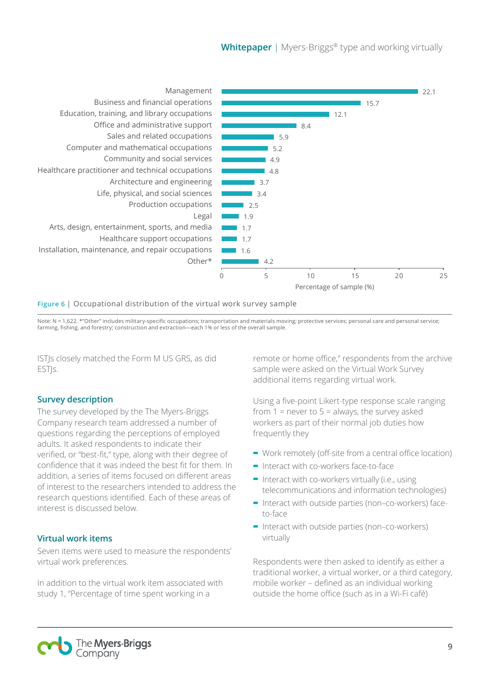**Whitepaper** | Myers-Briggs® type and working virtually



#### **Figure 6** | Occupational distribution of the virtual work survey sample

Note: N = 1,622. \*"Other" includes military-specific occupations; transportation and materials moving; protective services; personal care and personal service; farming, fishing, and forestry; construction and extraction—each 1% or less of the overall sample.

ISTJs closely matched the Form M US GRS, as did ESTI<sub>S</sub>.

#### **Survey description**

The survey developed by the The Myers-Briggs Company research team addressed a number of questions regarding the perceptions of employed adults. It asked respondents to indicate their verified, or "best-fit," type, along with their degree of confidence that it was indeed the best fit for them. In addition, a series of items focused on different areas of interest to the researchers intended to address the research questions identified. Each of these areas of interest is discussed below.

#### **Virtual work items**

Seven items were used to measure the respondents' virtual work preferences.

In addition to the virtual work item associated with study 1, "Percentage of time spent working in a

remote or home office," respondents from the archive sample were asked on the Virtual Work Survey additional items regarding virtual work.

Using a five-point Likert-type response scale ranging from  $1 =$  never to  $5 =$  always, the survey asked workers as part of their normal job duties how frequently they

- **-** Work remotely (off-site from a central office location)
- **-** Interact with co-workers face-to-face
- **-** Interact with co-workers virtually (i.e., using telecommunications and information technologies)
- **-** Interact with outside parties (non–co-workers) faceto-face
- **-** Interact with outside parties (non–co-workers) virtually

Respondents were then asked to identify as either a traditional worker, a virtual worker, or a third category, mobile worker – defined as an individual working outside the home office (such as in a Wi-Fi café)

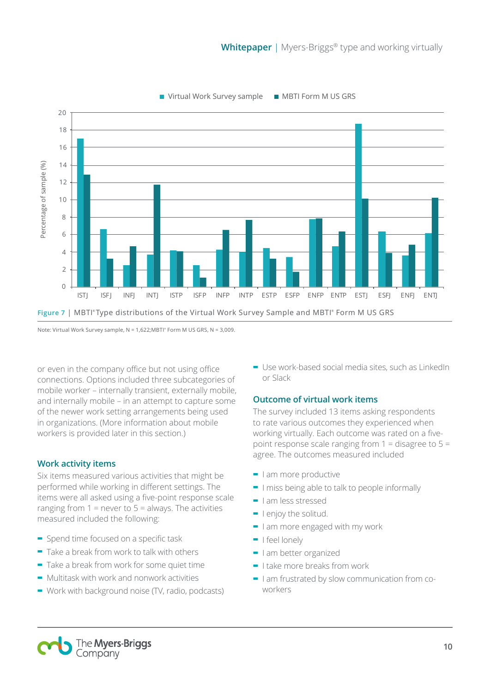

Note: Virtual Work Survey sample,  $N = 1,622; MBTI<sup>*</sup>$  Form M US GRS,  $N = 3,009$ .

or even in the company office but not using office connections. Options included three subcategories of mobile worker – internally transient, externally mobile, and internally mobile – in an attempt to capture some of the newer work setting arrangements being used in organizations. (More information about mobile workers is provided later in this section.)

#### **Work activity items**

Six items measured various activities that might be performed while working in different settings. The items were all asked using a five-point response scale ranging from  $1 =$  never to  $5 =$  always. The activities measured included the following:

- **-** Spend time focused on a specific task
- **-** Take a break from work to talk with others
- **-** Take a break from work for some quiet time
- **-** Multitask with work and nonwork activities
- **-** Work with background noise (TV, radio, podcasts)

**-** Use work-based social media sites, such as LinkedIn or Slack

#### **Outcome of virtual work items**

The survey included 13 items asking respondents to rate various outcomes they experienced when working virtually. Each outcome was rated on a fivepoint response scale ranging from  $1 =$  disagree to  $5 =$ agree. The outcomes measured included

- **-** I am more productive
- **-** I miss being able to talk to people informally
- **-** I am less stressed
- **-** I enjoy the solitud.
- **-** I am more engaged with my work
- **-** I feel lonely
- **-** I am better organized
- **-** I take more breaks from work
- **-** I am frustrated by slow communication from coworkers

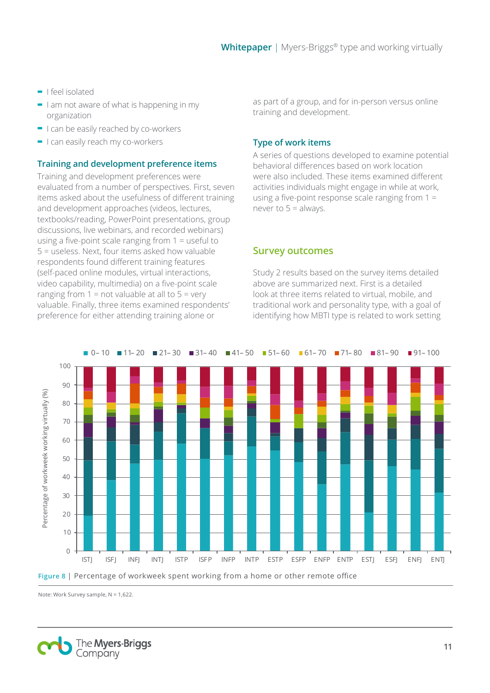- **-** I feel isolated
- **-** I am not aware of what is happening in my organization
- **-** I can be easily reached by co-workers
- **-** I can easily reach my co-workers

#### **Training and development preference items**

Training and development preferences were evaluated from a number of perspectives. First, seven items asked about the usefulness of different training and development approaches (videos, lectures, textbooks/reading, PowerPoint presentations, group discussions, live webinars, and recorded webinars) using a five-point scale ranging from 1 = useful to 5 = useless. Next, four items asked how valuable respondents found different training features (self-paced online modules, virtual interactions, video capability, multimedia) on a five-point scale ranging from  $1 = not$  valuable at all to  $5 = \text{very}$ valuable. Finally, three items examined respondents' preference for either attending training alone or

as part of a group, and for in-person versus online training and development.

#### **Type of work items**

A series of questions developed to examine potential behavioral differences based on work location were also included. These items examined different activities individuals might engage in while at work, using a five-point response scale ranging from 1 = never to  $5 =$  always.

#### **Survey outcomes**

Study 2 results based on the survey items detailed above are summarized next. First is a detailed look at three items related to virtual, mobile, and traditional work and personality type, with a goal of identifying how MBTI type is related to work setting



Note: Work Survey sample, N = 1,622.

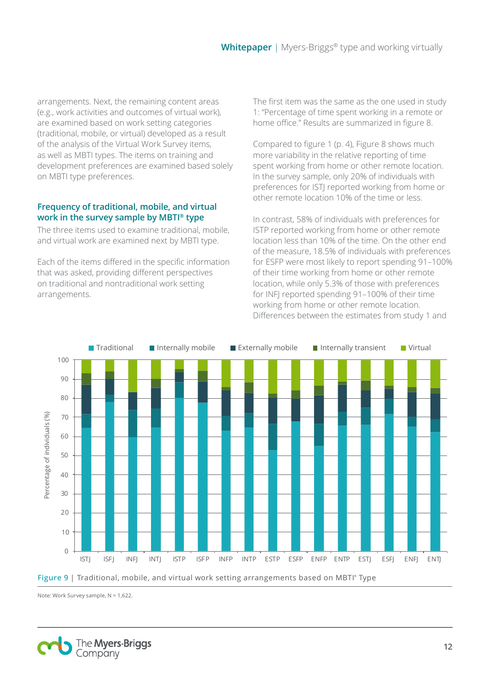arrangements. Next, the remaining content areas (e.g., work activities and outcomes of virtual work), are examined based on work setting categories (traditional, mobile, or virtual) developed as a result of the analysis of the Virtual Work Survey items, as well as MBTI types. The items on training and development preferences are examined based solely on MBTI type preferences.

#### **Frequency of traditional, mobile, and virtual work in the survey sample by MBTI® type**

The three items used to examine traditional, mobile, and virtual work are examined next by MBTI type.

Each of the items differed in the specific information that was asked, providing different perspectives on traditional and nontraditional work setting arrangements.

The first item was the same as the one used in study 1: "Percentage of time spent working in a remote or home office." Results are summarized in figure 8.

Compared to figure 1 (p. 4), Figure 8 shows much more variability in the relative reporting of time spent working from home or other remote location. In the survey sample, only 20% of individuals with preferences for ISTJ reported working from home or other remote location 10% of the time or less.

In contrast, 58% of individuals with preferences for ISTP reported working from home or other remote location less than 10% of the time. On the other end of the measure, 18.5% of individuals with preferences for ESFP were most likely to report spending 91–100% of their time working from home or other remote location, while only 5.3% of those with preferences for INFJ reported spending 91–100% of their time working from home or other remote location. Differences between the estimates from study 1 and



**Figure 9** | Traditional, mobile, and virtual work setting arrangements based on MBTI® Type

Note: Work Survey sample, N = 1,622.

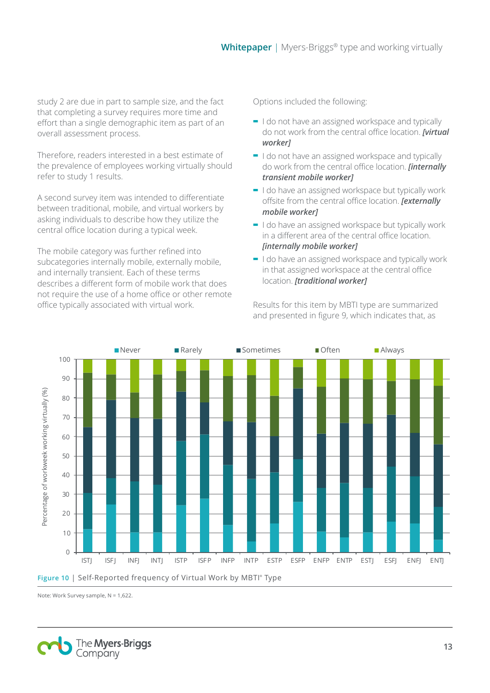study 2 are due in part to sample size, and the fact that completing a survey requires more time and effort than a single demographic item as part of an overall assessment process.

Therefore, readers interested in a best estimate of the prevalence of employees working virtually should refer to study 1 results.

A second survey item was intended to differentiate between traditional, mobile, and virtual workers by asking individuals to describe how they utilize the central office location during a typical week.

The mobile category was further refined into subcategories internally mobile, externally mobile, and internally transient. Each of these terms describes a different form of mobile work that does not require the use of a home office or other remote office typically associated with virtual work.

Options included the following:

- **-** I do not have an assigned workspace and typically do not work from the central office location. *[virtual worker]*
- **-** I do not have an assigned workspace and typically do work from the central office location. *[internally transient mobile worker]*
- **-** I do have an assigned workspace but typically work offsite from the central office location. *[externally mobile worker]*
- **-** I do have an assigned workspace but typically work in a different area of the central office location. *[internally mobile worker]*
- **-** I do have an assigned workspace and typically work in that assigned workspace at the central office location. *[traditional worker]*

Results for this item by MBTI type are summarized and presented in figure 9, which indicates that, as



Note: Work Survey sample, N = 1,622.

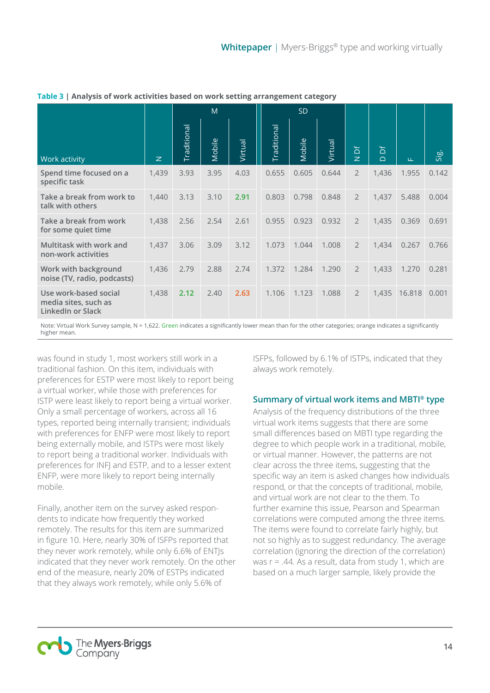|                                                                           |             | M                  |        |         | <b>SD</b>          |        |         |                     |                |        |       |
|---------------------------------------------------------------------------|-------------|--------------------|--------|---------|--------------------|--------|---------|---------------------|----------------|--------|-------|
| Work activity                                                             | $\mathbb Z$ | <b>Traditional</b> | Mobile | Virtual | <b>Traditional</b> | Mobile | Virtual | 占<br>$\overline{z}$ | ă<br>$\bigcap$ | LL.    | Sig.  |
| Spend time focused on a<br>specific task                                  | 1,439       | 3.93               | 3.95   | 4.03    | 0.655              | 0.605  | 0.644   | $\overline{2}$      | 1,436          | 1.955  | 0.142 |
| Take a break from work to<br>talk with others                             | 1,440       | 3.13               | 3.10   | 2.91    | 0.803              | 0.798  | 0.848   | $\overline{2}$      | 1,437          | 5.488  | 0.004 |
| Take a break from work<br>for some quiet time                             | 1,438       | 2.56               | 2.54   | 2.61    | 0.955              | 0.923  | 0.932   | $\overline{2}$      | 1,435          | 0.369  | 0.691 |
| Multitask with work and<br>non-work activities                            | 1,437       | 3.06               | 3.09   | 3.12    | 1.073              | 1.044  | 1.008   | $\overline{2}$      | 1,434          | 0.267  | 0.766 |
| Work with background<br>noise (TV, radio, podcasts)                       | 1,436       | 2.79               | 2.88   | 2.74    | 1.372              | 1.284  | 1.290   | $\overline{2}$      | 1,433          | 1.270  | 0.281 |
| Use work-based social<br>media sites, such as<br><b>LinkedIn or Slack</b> | 1,438       | 2.12               | 2.40   | 2.63    | 1.106              | 1.123  | 1.088   | $\overline{2}$      | 1,435          | 16.818 | 0.001 |

**Table 3 | Analysis of work activities based on work setting arrangement category**

Note: Virtual Work Survey sample, N = 1,622. Green indicates a significantly lower mean than for the other categories; orange indicates a significantly higher mean.

was found in study 1, most workers still work in a traditional fashion. On this item, individuals with preferences for ESTP were most likely to report being a virtual worker, while those with preferences for ISTP were least likely to report being a virtual worker. Only a small percentage of workers, across all 16 types, reported being internally transient; individuals with preferences for ENFP were most likely to report being externally mobile, and ISTPs were most likely to report being a traditional worker. Individuals with preferences for INFJ and ESTP, and to a lesser extent ENFP, were more likely to report being internally mobile.

Finally, another item on the survey asked respondents to indicate how frequently they worked remotely. The results for this item are summarized in figure 10. Here, nearly 30% of ISFPs reported that they never work remotely, while only 6.6% of ENTJs indicated that they never work remotely. On the other end of the measure, nearly 20% of ESTPs indicated that they always work remotely, while only 5.6% of

ISFPs, followed by 6.1% of ISTPs, indicated that they always work remotely.

#### **Summary of virtual work items and MBTI® type**

Analysis of the frequency distributions of the three virtual work items suggests that there are some small differences based on MBTI type regarding the degree to which people work in a traditional, mobile, or virtual manner. However, the patterns are not clear across the three items, suggesting that the specific way an item is asked changes how individuals respond, or that the concepts of traditional, mobile, and virtual work are not clear to the them. To further examine this issue, Pearson and Spearman correlations were computed among the three items. The items were found to correlate fairly highly, but not so highly as to suggest redundancy. The average correlation (ignoring the direction of the correlation) was  $r = .44$ . As a result, data from study 1, which are based on a much larger sample, likely provide the

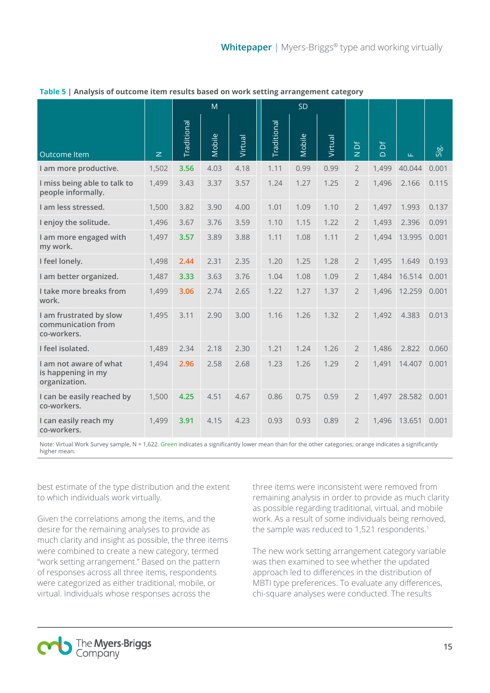|                                                               |                | M           |        |         | <b>SD</b>          |        |         |                     |             |        |       |
|---------------------------------------------------------------|----------------|-------------|--------|---------|--------------------|--------|---------|---------------------|-------------|--------|-------|
| Outcome Item                                                  | $\overline{z}$ | Traditional | Mobile | Virtual | <b>Traditional</b> | Mobile | Virtual | ð<br>$\overline{z}$ | ď<br>$\Box$ | Щ      | Sig.  |
| I am more productive.                                         | 1,502          | 3.56        | 4.03   | 4.18    | 1.11               | 0.99   | 0.99    | $\overline{2}$      | 1,499       | 40.044 | 0.001 |
| I miss being able to talk to<br>people informally.            | 1,499          | 3.43        | 3.37   | 3.57    | 1.24               | 1.27   | 1.25    | $\overline{2}$      | 1,496       | 2.166  | 0.115 |
| I am less stressed.                                           | 1,500          | 3.82        | 3.90   | 4.00    | 1.01               | 1.09   | 1.10    | $\overline{2}$      | 1,497       | 1.993  | 0.137 |
| I enjoy the solitude.                                         | 1,496          | 3.67        | 3.76   | 3.59    | 1.10               | 1.15   | 1.22    | $\overline{2}$      | 1,493       | 2.396  | 0.091 |
| I am more engaged with<br>my work.                            | 1,497          | 3.57        | 3.89   | 3.88    | 1.11               | 1.08   | 1.11    | $\overline{2}$      | 1,494       | 13.995 | 0.001 |
| I feel lonely.                                                | 1,498          | 2.44        | 2.31   | 2.35    | 1.20               | 1.25   | 1.28    | $\overline{2}$      | 1,495       | 1.649  | 0.193 |
| I am better organized.                                        | 1,487          | 3.33        | 3.63   | 3.76    | 1.04               | 1.08   | 1.09    | $\overline{2}$      | 1,484       | 16.514 | 0.001 |
| I take more breaks from<br>work.                              | 1,499          | 3.06        | 2.74   | 2.65    | 1.22               | 1.27   | 1.37    | $\overline{2}$      | 1,496       | 12.259 | 0.001 |
| I am frustrated by slow<br>communication from<br>co-workers.  | 1,495          | 3.11        | 2.90   | 3.00    | 1.16               | 1.26   | 1.32    | $\overline{2}$      | 1,492       | 4.383  | 0.013 |
| I feel isolated.                                              | 1,489          | 2.34        | 2.18   | 2.30    | 1.21               | 1.24   | 1.26    | $\overline{2}$      | 1,486       | 2.822  | 0.060 |
| I am not aware of what<br>is happening in my<br>organization. | 1,494          | 2.96        | 2.58   | 2.68    | 1.23               | 1.26   | 1.29    | $\overline{2}$      | 1,491       | 14.407 | 0.001 |
| I can be easily reached by<br>co-workers.                     | 1,500          | 4.25        | 4.51   | 4.67    | 0.86               | 0.75   | 0.59    | $\overline{2}$      | 1,497       | 28.582 | 0.001 |
| I can easily reach my<br>co-workers.                          | 1,499          | 3.91        | 4.15   | 4.23    | 0.93               | 0.93   | 0.89    | $\overline{2}$      | 1,496       | 13.651 | 0.001 |

#### **Table 5 | Analysis of outcome item results based on work setting arrangement category**

Note: Virtual Work Survey sample, N = 1,622. Green indicates a significantly lower mean than for the other categories; orange indicates a significantly higher mean.

best estimate of the type distribution and the extent to which individuals work virtually.

Given the correlations among the items, and the desire for the remaining analyses to provide as much clarity and insight as possible, the three items were combined to create a new category, termed "work setting arrangement." Based on the pattern of responses across all three items, respondents were categorized as either traditional, mobile, or virtual. Individuals whose responses across the

three items were inconsistent were removed from remaining analysis in order to provide as much clarity as possible regarding traditional, virtual, and mobile work. As a result of some individuals being removed, the sample was reduced to 1,521 respondents. 1

The new work setting arrangement category variable was then examined to see whether the updated approach led to differences in the distribution of MBTI type preferences. To evaluate any differences, chi-square analyses were conducted. The results

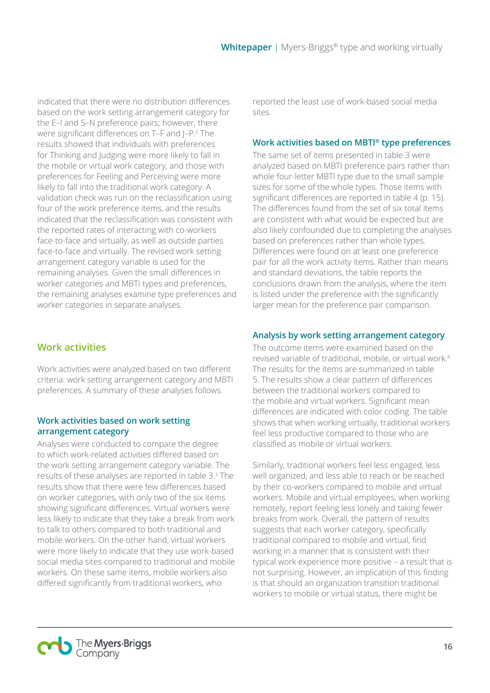indicated that there were no distribution differences based on the work setting arrangement category for the E–I and S–N preference pairs; however, there were significant differences on T-F and J-P.<sup>2</sup> The results showed that individuals with preferences for Thinking and Judging were more likely to fall in the mobile or virtual work category, and those with preferences for Feeling and Perceiving were more likely to fall into the traditional work category. A validation check was run on the reclassification using four of the work preference items, and the results indicated that the reclassification was consistent with the reported rates of interacting with co-workers face-to-face and virtually, as well as outside parties face-to-face and virtually. The revised work setting arrangement category variable is used for the remaining analyses. Given the small differences in worker categories and MBTI types and preferences, the remaining analyses examine type preferences and worker categories in separate analyses.

## **Work activities**

Work activities were analyzed based on two different criteria: work setting arrangement category and MBTI preferences. A summary of these analyses follows.

#### **Work activities based on work setting arrangement category**

Analyses were conducted to compare the degree to which work-related activities differed based on the work setting arrangement category variable. The results of these analyses are reported in table 3. 3 The results show that there were few differences based on worker categories, with only two of the six items showing significant differences. Virtual workers were less likely to indicate that they take a break from work to talk to others compared to both traditional and mobile workers. On the other hand, virtual workers were more likely to indicate that they use work-based social media sites compared to traditional and mobile workers. On these same items, mobile workers also differed significantly from traditional workers, who

reported the least use of work-based social media sites.

#### **Work activities based on MBTI® type preferences**

The same set of items presented in table 3 were analyzed based on MBTI preference pairs rather than whole four-letter MBTI type due to the small sample sizes for some of the whole types. Those items with significant differences are reported in table 4 (p. 15). The differences found from the set of six total items are consistent with what would be expected but are also likely confounded due to completing the analyses based on preferences rather than whole types. Differences were found on at least one preference pair for all the work activity items. Rather than means and standard deviations, the table reports the conclusions drawn from the analysis, where the item is listed under the preference with the significantly larger mean for the preference pair comparison.

### **Analysis by work setting arrangement category**

The outcome items were examined based on the revised variable of traditional, mobile, or virtual work. 4 The results for the items are summarized in table 5. The results show a clear pattern of differences between the traditional workers compared to the mobile and virtual workers. Significant mean differences are indicated with color coding. The table shows that when working virtually, traditional workers feel less productive compared to those who are classified as mobile or virtual workers.

Similarly, traditional workers feel less engaged, less well organized, and less able to reach or be reached by their co-workers compared to mobile and virtual workers. Mobile and virtual employees, when working remotely, report feeling less lonely and taking fewer breaks from work. Overall, the pattern of results suggests that each worker category, specifically traditional compared to mobile and virtual, find working in a manner that is consistent with their typical work experience more positive – a result that is not surprising. However, an implication of this finding is that should an organization transition traditional workers to mobile or virtual status, there might be

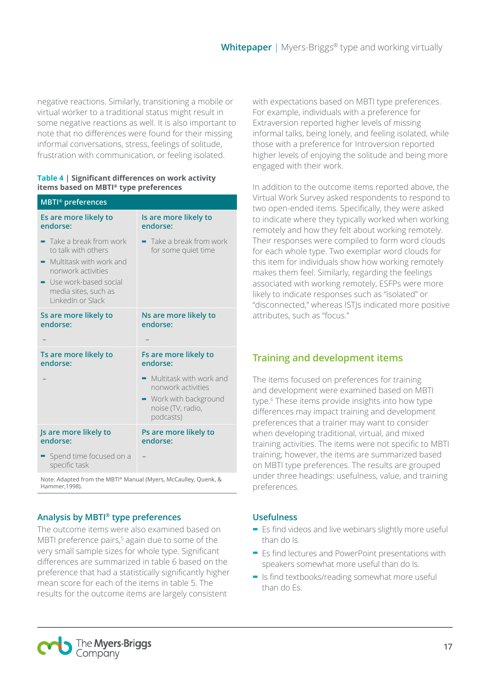negative reactions. Similarly, transitioning a mobile or virtual worker to a traditional status might result in some negative reactions as well. It is also important to note that no differences were found for their missing informal conversations, stress, feelings of solitude, frustration with communication, or feeling isolated.

#### **Table 4 | Significant differences on work activity items based on MBTI® type preferences**

| Is are more likely to<br>endorse:                                                                                        |
|--------------------------------------------------------------------------------------------------------------------------|
| Take a break from work<br>for some quiet time                                                                            |
| Ns are more likely to<br>endorse:                                                                                        |
|                                                                                                                          |
| Fs are more likely to<br>endorse:                                                                                        |
| $\blacksquare$ Multitask with work and<br>nonwork activities<br>• Work with background<br>noise (TV, radio,<br>podcasts) |
| Ps are more likely to<br>endorse:                                                                                        |
|                                                                                                                          |
|                                                                                                                          |

Note: Adapted from the MBTI® Manual (Myers, McCaulley, Quenk, & Hammer,1998).

#### **Analysis by MBTI® type preferences**

The outcome items were also examined based on MBTI preference pairs,<sup>5</sup> again due to some of the very small sample sizes for whole type. Significant differences are summarized in table 6 based on the preference that had a statistically significantly higher mean score for each of the items in table 5. The results for the outcome items are largely consistent

with expectations based on MBTI type preferences. For example, individuals with a preference for Extraversion reported higher levels of missing informal talks, being lonely, and feeling isolated, while those with a preference for Introversion reported higher levels of enjoying the solitude and being more engaged with their work.

In addition to the outcome items reported above, the Virtual Work Survey asked respondents to respond to two open-ended items. Specifically, they were asked to indicate where they typically worked when working remotely and how they felt about working remotely. Their responses were compiled to form word clouds for each whole type. Two exemplar word clouds for this item for individuals show how working remotely makes them feel. Similarly, regarding the feelings associated with working remotely, ESFPs were more likely to indicate responses such as "isolated" or "disconnected," whereas ISTJs indicated more positive attributes, such as "focus."

## **Training and development items**

The items focused on preferences for training and development were examined based on MBTI type. 6 These items provide insights into how type differences may impact training and development preferences that a trainer may want to consider when developing traditional, virtual, and mixed training activities. The items were not specific to MBTI training; however, the items are summarized based on MBTI type preferences. The results are grouped under three headings: usefulness, value, and training preferences.

#### **Usefulness**

- **-** Es find videos and live webinars slightly more useful than do Is.
- **-** Es find lectures and PowerPoint presentations with speakers somewhat more useful than do Is.
- **-** Is find textbooks/reading somewhat more useful than do Es.

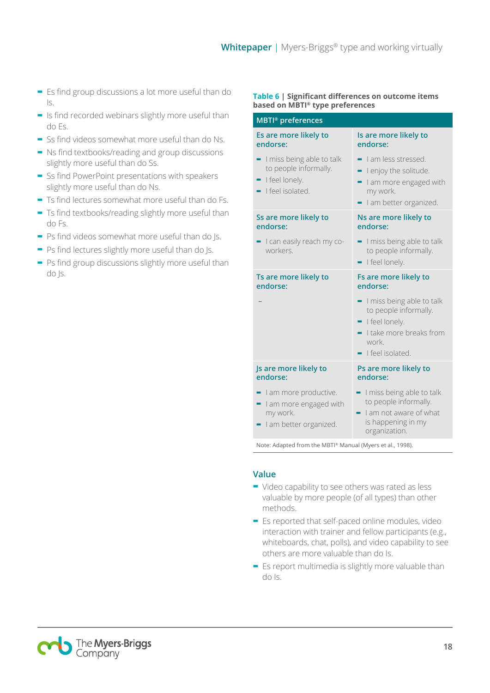- **-** Es find group discussions a lot more useful than do Is.
- **-** Is find recorded webinars slightly more useful than do Es.
- **-** Ss find videos somewhat more useful than do Ns.
- **-** Ns find textbooks/reading and group discussions slightly more useful than do Ss.
- **-** Ss find PowerPoint presentations with speakers slightly more useful than do Ns.
- **-** Ts find lectures somewhat more useful than do Fs.
- **-** Ts find textbooks/reading slightly more useful than do Fs.
- **-** Ps find videos somewhat more useful than do Js.
- **-** Ps find lectures slightly more useful than do Js.
- **-** Ps find group discussions slightly more useful than do Js.

#### **Table 6 | Significant differences on outcome items based on MBTI® type preferences**

#### **MBTI® preferences Es are more likely to endorse: Is are more likely to endorse: -** I miss being able to talk to people informally. **-** I feel lonely. **-** I feel isolated. **-** I am less stressed. **-** I enjoy the solitude. **-** I am more engaged with my work. **-** I am better organized. **Ss are more likely to endorse: Ns are more likely to endorse: -** I can easily reach my coworkers. **-** I miss being able to talk to people informally. **-** I feel lonely. **Ts are more likely to endorse: Fs are more likely to endorse:** – **-** I miss being able to talk to people informally. **-** I feel lonely. **-** I take more breaks from work. **-** I feel isolated. **Js are more likely to endorse: Ps are more likely to endorse: -** I am more productive. **-** I am more engaged with my work. **-** I am better organized. **-** I miss being able to talk to people informally. **-** I am not aware of what is happening in my organization.

Note: Adapted from the MBTI® Manual (Myers et al., 1998).

#### **Value**

- **-** Video capability to see others was rated as less valuable by more people (of all types) than other methods.
- **-** Es reported that self-paced online modules, video interaction with trainer and fellow participants (e.g., whiteboards, chat, polls), and video capability to see others are more valuable than do Is.
- **-** Es report multimedia is slightly more valuable than do Is.

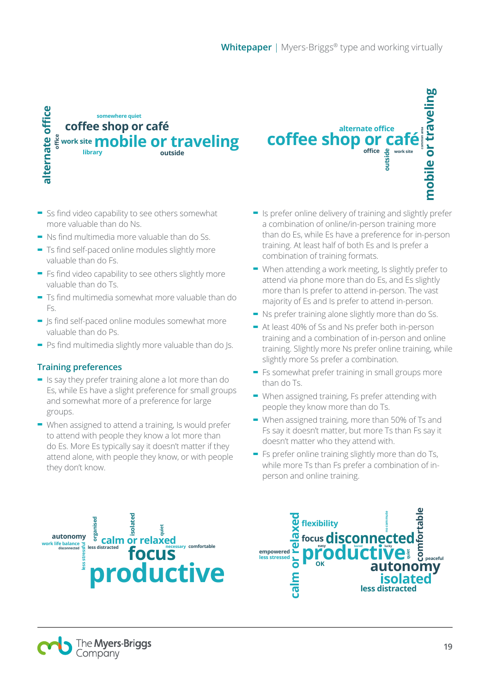**coffee shop or ca** 

## alternate office **alternate office somewhere quiet coffee shop or café office mobile or traveling work site library outside**

- **-** Ss find video capability to see others somewhat more valuable than do Ns.
- **-** Ns find multimedia more valuable than do Ss.
- **-** Ts find self-paced online modules slightly more valuable than do Fs.
- **-** Fs find video capability to see others slightly more valuable than do Ts.
- **-** Ts find multimedia somewhat more valuable than do Fs.
- **-** Js find self-paced online modules somewhat more valuable than do Ps.
- **-** Ps find multimedia slightly more valuable than do Js.

#### **Training preferences**

- **-** Is say they prefer training alone a lot more than do Es, while Es have a slight preference for small groups and somewhat more of a preference for large groups.
- **-** When assigned to attend a training, Is would prefer to attend with people they know a lot more than do Es. More Es typically say it doesn't matter if they attend alone, with people they know, or with people they don't know.

**-** Is prefer online delivery of training and slightly prefer a combination of online/in-person training more than do Es, while Es have a preference for in-person training. At least half of both Es and Is prefer a combination of training formats.

**alternate office**

**office work site**<br> **b**<br> **b**<br> **b**<br> **b**<br> **b**<br> **b**<br> **b** 

**mobile or traveling**

mobile or traveling

**common area**

- **-** When attending a work meeting, Is slightly prefer to attend via phone more than do Es, and Es slightly more than Is prefer to attend in-person. The vast majority of Es and Is prefer to attend in-person.
- **-** Ns prefer training alone slightly more than do Ss.
- **-** At least 40% of Ss and Ns prefer both in-person training and a combination of in-person and online training. Slightly more Ns prefer online training, while slightly more Ss prefer a combination.
- **-** Fs somewhat prefer training in small groups more than do Ts.
- **-** When assigned training, Fs prefer attending with people they know more than do Ts.
- **-** When assigned training, more than 50% of Ts and Fs say it doesn't matter, but more Ts than Fs say it doesn't matter who they attend with.
- **-** Fs prefer online training slightly more than do Ts, while more Ts than Fs prefer a combination of inperson and online training.





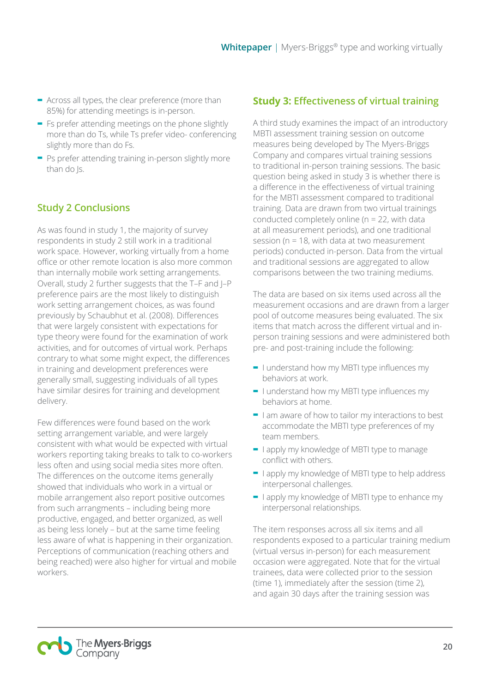- **-** Across all types, the clear preference (more than 85%) for attending meetings is in-person.
- **-** Fs prefer attending meetings on the phone slightly more than do Ts, while Ts prefer video- conferencing slightly more than do Fs.
- **-** Ps prefer attending training in-person slightly more than do Js.

## **Study 2 Conclusions**

As was found in study 1, the majority of survey respondents in study 2 still work in a traditional work space. However, working virtually from a home office or other remote location is also more common than internally mobile work setting arrangements. Overall, study 2 further suggests that the T–F and J–P preference pairs are the most likely to distinguish work setting arrangement choices, as was found previously by Schaubhut et al. (2008). Differences that were largely consistent with expectations for type theory were found for the examination of work activities, and for outcomes of virtual work. Perhaps contrary to what some might expect, the differences in training and development preferences were generally small, suggesting individuals of all types have similar desires for training and development delivery.

Few differences were found based on the work setting arrangement variable, and were largely consistent with what would be expected with virtual workers reporting taking breaks to talk to co-workers less often and using social media sites more often. The differences on the outcome items generally showed that individuals who work in a virtual or mobile arrangement also report positive outcomes from such arrangments – including being more productive, engaged, and better organized, as well as being less lonely – but at the same time feeling less aware of what is happening in their organization. Perceptions of communication (reaching others and being reached) were also higher for virtual and mobile workers.

## **Study 3: Effectiveness of virtual training**

A third study examines the impact of an introductory MBTI assessment training session on outcome measures being developed by The Myers-Briggs Company and compares virtual training sessions to traditional in-person training sessions. The basic question being asked in study 3 is whether there is a difference in the effectiveness of virtual training for the MBTI assessment compared to traditional training. Data are drawn from two virtual trainings conducted completely online (n = 22, with data at all measurement periods), and one traditional session (n = 18, with data at two measurement periods) conducted in-person. Data from the virtual and traditional sessions are aggregated to allow comparisons between the two training mediums.

The data are based on six items used across all the measurement occasions and are drawn from a larger pool of outcome measures being evaluated. The six items that match across the different virtual and inperson training sessions and were administered both pre- and post-training include the following:

- **-** I understand how my MBTI type influences my behaviors at work.
- **-** I understand how my MBTI type influences my behaviors at home.
- **-** I am aware of how to tailor my interactions to best accommodate the MBTI type preferences of my team members.
- **-** I apply my knowledge of MBTI type to manage conflict with others.
- **-** I apply my knowledge of MBTI type to help address interpersonal challenges.
- **-** I apply my knowledge of MBTI type to enhance my interpersonal relationships.

The item responses across all six items and all respondents exposed to a particular training medium (virtual versus in-person) for each measurement occasion were aggregated. Note that for the virtual trainees, data were collected prior to the session (time 1), immediately after the session (time 2), and again 30 days after the training session was

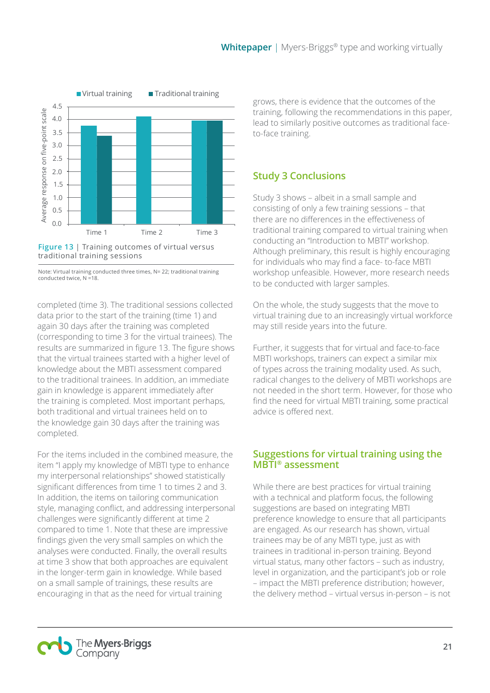

**Figure 13** | Training outcomes of virtual versus traditional training sessions

Note: Virtual training conducted three times, N= 22; traditional training conducted twice, N =18.

completed (time 3). The traditional sessions collected data prior to the start of the training (time 1) and again 30 days after the training was completed (corresponding to time 3 for the virtual trainees). The results are summarized in figure 13. The figure shows that the virtual trainees started with a higher level of knowledge about the MBTI assessment compared to the traditional trainees. In addition, an immediate gain in knowledge is apparent immediately after the training is completed. Most important perhaps, both traditional and virtual trainees held on to the knowledge gain 30 days after the training was completed.

For the items included in the combined measure, the item "I apply my knowledge of MBTI type to enhance my interpersonal relationships" showed statistically significant differences from time 1 to times 2 and 3. In addition, the items on tailoring communication style, managing conflict, and addressing interpersonal challenges were significantly different at time 2 compared to time 1. Note that these are impressive findings given the very small samples on which the analyses were conducted. Finally, the overall results at time 3 show that both approaches are equivalent in the longer-term gain in knowledge. While based on a small sample of trainings, these results are encouraging in that as the need for virtual training

grows, there is evidence that the outcomes of the training, following the recommendations in this paper, lead to similarly positive outcomes as traditional faceto-face training.

## **Study 3 Conclusions**

Study 3 shows – albeit in a small sample and consisting of only a few training sessions – that there are no differences in the effectiveness of traditional training compared to virtual training when conducting an "Introduction to MBTI" workshop. Although preliminary, this result is highly encouraging for individuals who may find a face- to-face MBTI workshop unfeasible. However, more research needs to be conducted with larger samples.

On the whole, the study suggests that the move to virtual training due to an increasingly virtual workforce may still reside years into the future.

Further, it suggests that for virtual and face-to-face MBTI workshops, trainers can expect a similar mix of types across the training modality used. As such, radical changes to the delivery of MBTI workshops are not needed in the short term. However, for those who find the need for virtual MBTI training, some practical advice is offered next.

## **Suggestions for virtual training using the MBTI® assessment**

While there are best practices for virtual training with a technical and platform focus, the following suggestions are based on integrating MBTI preference knowledge to ensure that all participants are engaged. As our research has shown, virtual trainees may be of any MBTI type, just as with trainees in traditional in-person training. Beyond virtual status, many other factors – such as industry, level in organization, and the participant's job or role – impact the MBTI preference distribution; however, the delivery method – virtual versus in-person – is not

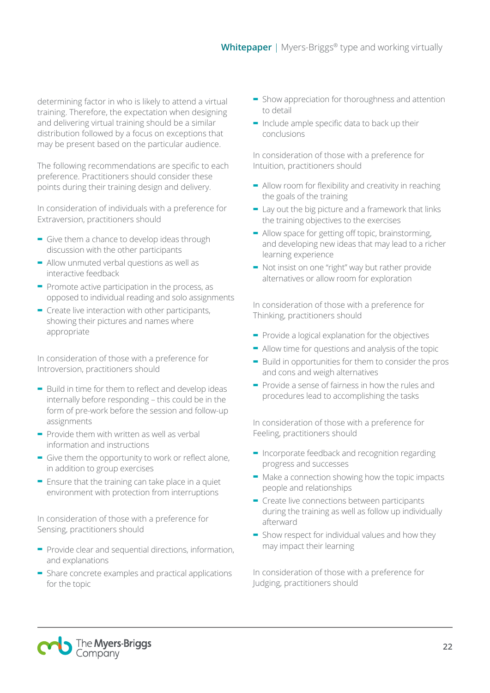determining factor in who is likely to attend a virtual training. Therefore, the expectation when designing and delivering virtual training should be a similar distribution followed by a focus on exceptions that may be present based on the particular audience.

The following recommendations are specific to each preference. Practitioners should consider these points during their training design and delivery.

In consideration of individuals with a preference for Extraversion, practitioners should

- **-** Give them a chance to develop ideas through discussion with the other participants
- **-** Allow unmuted verbal questions as well as interactive feedback
- **-** Promote active participation in the process, as opposed to individual reading and solo assignments
- **-** Create live interaction with other participants, showing their pictures and names where appropriate

In consideration of those with a preference for Introversion, practitioners should

- **-** Build in time for them to reflect and develop ideas internally before responding – this could be in the form of pre-work before the session and follow-up assignments
- **-** Provide them with written as well as verbal information and instructions
- **-** Give them the opportunity to work or reflect alone, in addition to group exercises
- **-** Ensure that the training can take place in a quiet environment with protection from interruptions

In consideration of those with a preference for Sensing, practitioners should

- **-** Provide clear and sequential directions, information, and explanations
- **-** Share concrete examples and practical applications for the topic
- **-** Show appreciation for thoroughness and attention to detail
- **-** Include ample specific data to back up their conclusions

In consideration of those with a preference for Intuition, practitioners should

- **-** Allow room for flexibility and creativity in reaching the goals of the training
- **-** Lay out the big picture and a framework that links the training objectives to the exercises
- **-** Allow space for getting off topic, brainstorming, and developing new ideas that may lead to a richer learning experience
- **-** Not insist on one "right" way but rather provide alternatives or allow room for exploration

In consideration of those with a preference for Thinking, practitioners should

- **-** Provide a logical explanation for the objectives
- **-** Allow time for questions and analysis of the topic
- **-** Build in opportunities for them to consider the pros and cons and weigh alternatives
- **-** Provide a sense of fairness in how the rules and procedures lead to accomplishing the tasks

In consideration of those with a preference for Feeling, practitioners should

- **-** Incorporate feedback and recognition regarding progress and successes
- **-** Make a connection showing how the topic impacts people and relationships
- **-** Create live connections between participants during the training as well as follow up individually afterward
- **-** Show respect for individual values and how they may impact their learning

In consideration of those with a preference for Judging, practitioners should

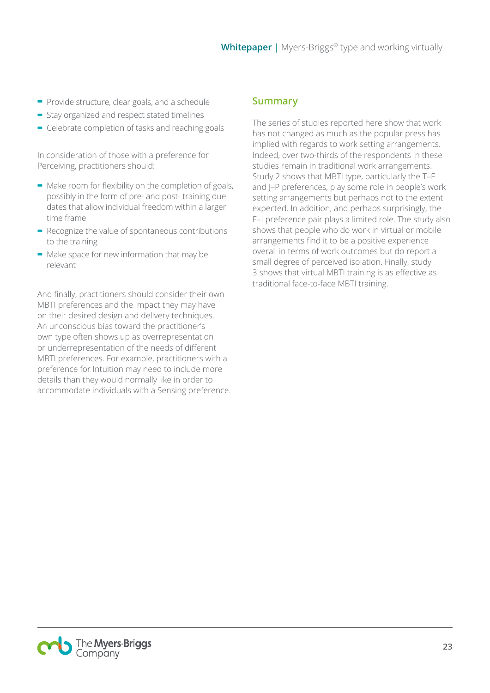- **-** Provide structure, clear goals, and a schedule
- **-** Stay organized and respect stated timelines
- **-** Celebrate completion of tasks and reaching goals

In consideration of those with a preference for Perceiving, practitioners should:

- **-** Make room for flexibility on the completion of goals, possibly in the form of pre- and post- training due dates that allow individual freedom within a larger time frame
- **-** Recognize the value of spontaneous contributions to the training
- **-** Make space for new information that may be relevant

And finally, practitioners should consider their own MBTI preferences and the impact they may have on their desired design and delivery techniques. An unconscious bias toward the practitioner's own type often shows up as overrepresentation or underrepresentation of the needs of different MBTI preferences. For example, practitioners with a preference for Intuition may need to include more details than they would normally like in order to accommodate individuals with a Sensing preference.

## **Summary**

The series of studies reported here show that work has not changed as much as the popular press has implied with regards to work setting arrangements. Indeed, over two-thirds of the respondents in these studies remain in traditional work arrangements. Study 2 shows that MBTI type, particularly the T–F and J–P preferences, play some role in people's work setting arrangements but perhaps not to the extent expected. In addition, and perhaps surprisingly, the E–I preference pair plays a limited role. The study also shows that people who do work in virtual or mobile arrangements find it to be a positive experience overall in terms of work outcomes but do report a small degree of perceived isolation. Finally, study 3 shows that virtual MBTI training is as effective as traditional face-to-face MBTI training.

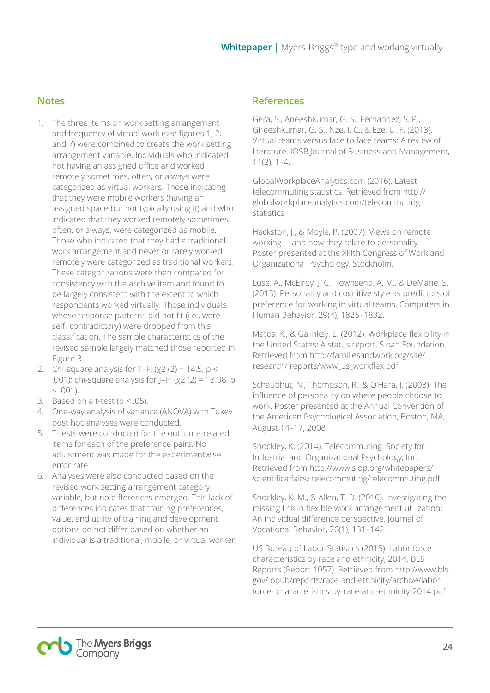## **Notes**

- 1. The three items on work setting arrangement and frequency of virtual work (see figures 1, 2, and 7) were combined to create the work setting arrangement variable. Individuals who indicated not having an assigned office and worked remotely sometimes, often, or always were categorized as virtual workers. Those indicating that they were mobile workers (having an assigned space but not typically using it) and who indicated that they worked remotely sometimes, often, or always, were categorized as mobile. Those who indicated that they had a traditional work arrangement and never or rarely worked remotely were categorized as traditional workers. These categorizations were then compared for consistency with the archive item and found to be largely consistent with the extent to which respondents worked virtually. Those individuals whose response patterns did not fit (i.e., were self- contradictory) were dropped from this classification. The sample characteristics of the revised sample largely matched those reported in Figure 3.
- 2. Chi-square analysis for T–F:  $(y2 (2) = 14.5, p <$ .001); chi-square analysis for J–P: (χ2 (2) = 13.98, p  $< .001$ ).
- 3. Based on a t-test ( $p < .05$ ).
- 4. One-way analysis of variance (ANOVA) with Tukey post hoc analyses were conducted.
- 5. T-tests were conducted for the outcome-related items for each of the preference pairs. No adjustment was made for the experimentwise error rate.
- 6. Analyses were also conducted based on the revised work setting arrangement category variable, but no differences emerged. This lack of differences indicates that training preferences, value, and utility of training and development options do not differ based on whether an individual is a traditional, mobile, or virtual worker.

## **References**

Gera, S., Aneeshkumar, G. S., Fernandez, S. P., Gireeshkumar, G. S., Nze, I. C., & Eze, U. F. (2013). Virtual teams versus face to face teams: A review of literature. IOSR Journal of Business and Management, 11(2), 1–4.

GlobalWorkplaceAnalytics.com (2016). Latest telecommuting statistics. Retrieved from http:// globalworkplaceanalytics.com/telecommutingstatistics

Hackston, J., & Moyle, P. (2007). Views on remote working – and how they relate to personality. Poster presented at the XIIIth Congress of Work and Organizational Psychology, Stockholm.

Luse, A., McElroy, J. C., Townsend, A. M., & DeMarie, S. (2013). Personality and cognitive style as predictors of preference for working in virtual teams. Computers in Human Behavior, 29(4), 1825–1832.

Matos, K., & Galinksy, E. (2012). Workplace flexibility in the United States: A status report. Sloan Foundation. Retrieved from http://familiesandwork.org/site/ research/ reports/www\_us\_workflex.pdf

Schaubhut, N., Thompson, R., & O'Hara, J. (2008). The influence of personality on where people choose to work. Poster presented at the Annual Convention of the American Psychological Association, Boston, MA, August 14–17, 2008.

Shockley, K. (2014). Telecommuting. Society for Industrial and Organizational Psychology, Inc. Retrieved from http://www.siop.org/whitepapers/ scientificaffairs/ telecommuting/telecommuting.pdf

Shockley, K. M., & Allen, T. D. (2010). Investigating the missing link in flexible work arrangement utilization: An individual difference perspective. Journal of Vocational Behavior, 76(1), 131–142.

US Bureau of Labor Statistics (2015). Labor force characteristics by race and ethnicity, 2014. BLS Reports (Report 1057). Retrieved from http://www.bls. gov/ opub/reports/race-and-ethnicity/archive/laborforce- characteristics-by-race-and-ethnicity-2014.pdf